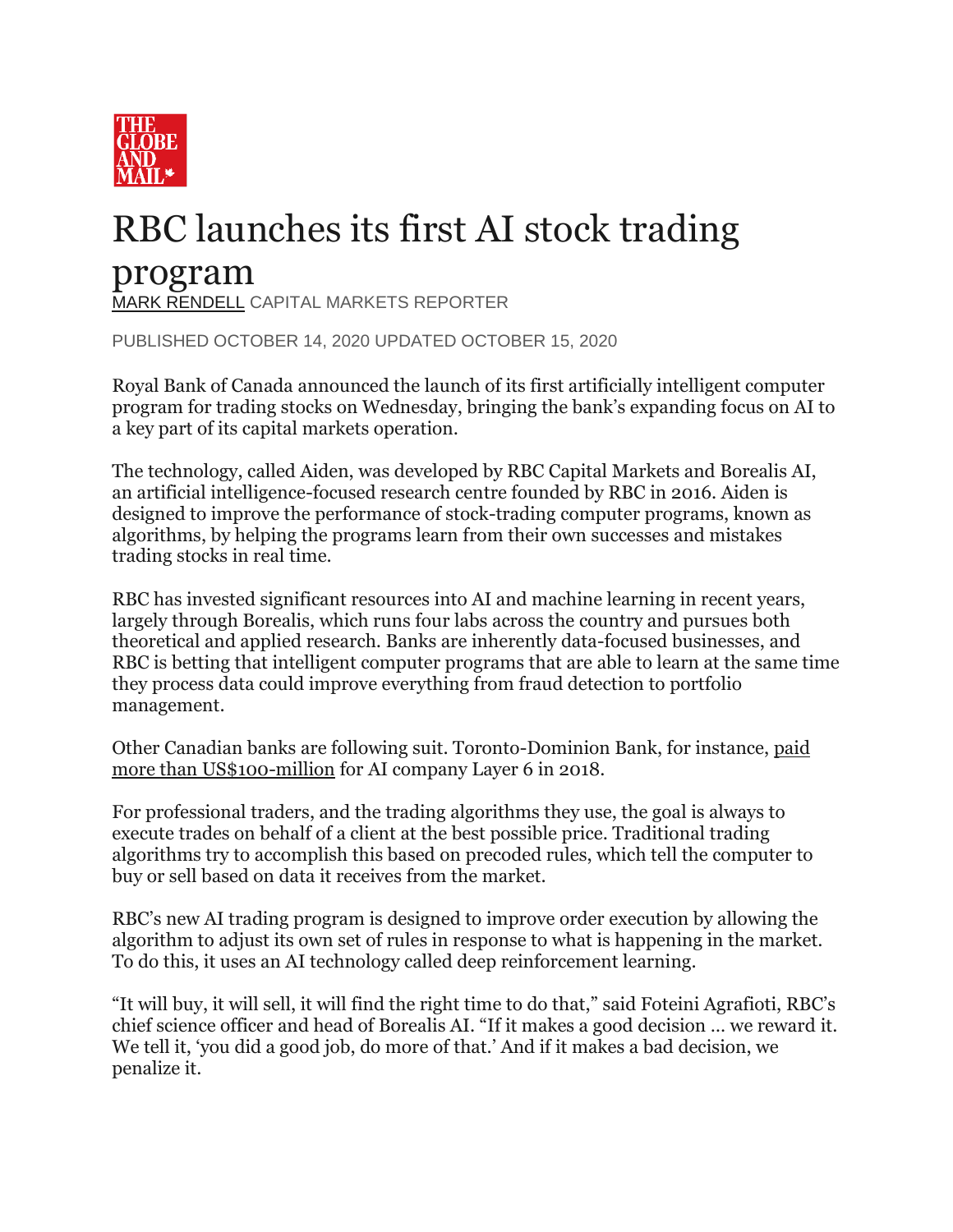

## RBC launches its first AI stock trading program

[MARK RENDELL](https://www.theglobeandmail.com/authors/mark-rendell/) CAPITAL MARKETS REPORTER

PUBLISHED OCTOBER 14, 2020 UPDATED OCTOBER 15, 2020

Royal Bank of Canada announced the launch of its first artificially intelligent computer program for trading stocks on Wednesday, bringing the bank's expanding focus on AI to a key part of its capital markets operation.

The technology, called Aiden, was developed by RBC Capital Markets and Borealis AI, an artificial intelligence-focused research centre founded by RBC in 2016. Aiden is designed to improve the performance of stock-trading computer programs, known as algorithms, by helping the programs learn from their own successes and mistakes trading stocks in real time.

RBC has invested significant resources into AI and machine learning in recent years, largely through Borealis, which runs four labs across the country and pursues both theoretical and applied research. Banks are inherently data-focused businesses, and RBC is betting that intelligent computer programs that are able to learn at the same time they process data could improve everything from fraud detection to portfolio management.

Other Canadian banks are following suit. Toronto-Dominion Bank, for instance, [paid](https://www.theglobeandmail.com/report-on-business/td-adds-to-tech-capabilities-with-100-million-deal-for-ai-firm-layer-6/article37545416/)  [more than US\\$100-million](https://www.theglobeandmail.com/report-on-business/td-adds-to-tech-capabilities-with-100-million-deal-for-ai-firm-layer-6/article37545416/) for AI company Layer 6 in 2018.

For professional traders, and the trading algorithms they use, the goal is always to execute trades on behalf of a client at the best possible price. Traditional trading algorithms try to accomplish this based on precoded rules, which tell the computer to buy or sell based on data it receives from the market.

RBC's new AI trading program is designed to improve order execution by allowing the algorithm to adjust its own set of rules in response to what is happening in the market. To do this, it uses an AI technology called deep reinforcement learning.

"It will buy, it will sell, it will find the right time to do that," said Foteini Agrafioti, RBC's chief science officer and head of Borealis AI. "If it makes a good decision … we reward it. We tell it, 'you did a good job, do more of that.' And if it makes a bad decision, we penalize it.